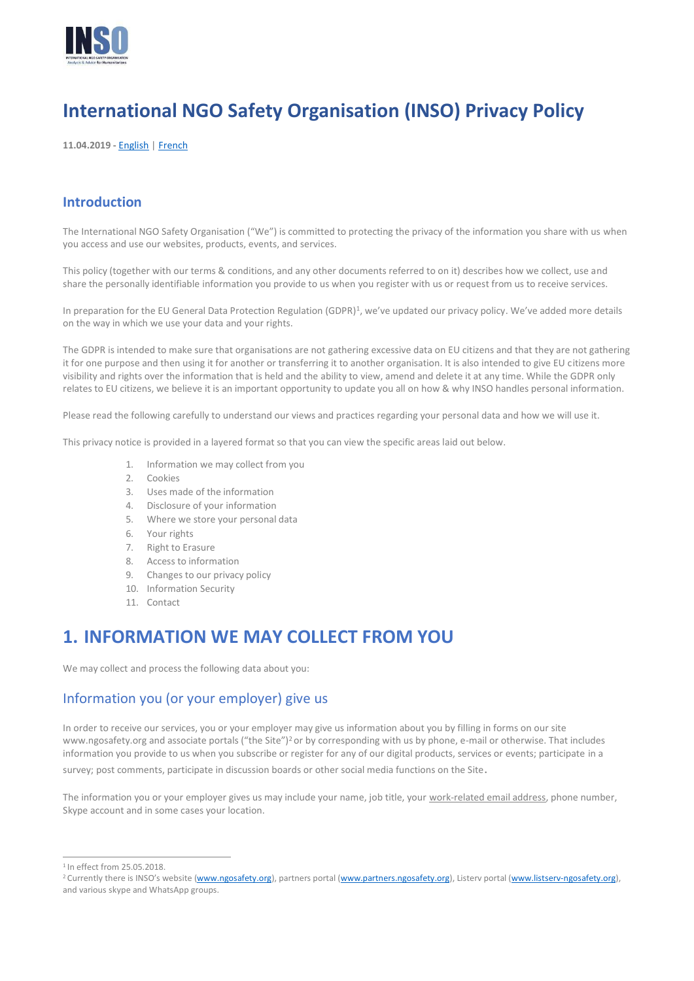

# **International NGO Safety Organisation (INSO) Privacy Policy**

**11.04.2019 -** [English](https://ngosafety.org/privacypolicy/English) | [French](https://ngosafety.org/privacypolicy/French)

#### **Introduction**

The International NGO Safety Organisation ("We") is committed to protecting the privacy of the information you share with us when you access and use our websites, products, events, and services.

This policy (together with our terms & conditions, and any other documents referred to on it) describes how we collect, use and share the personally identifiable information you provide to us when you register with us or request from us to receive services.

In preparation for the EU General Data Protection Regulation (GDPR)<sup>1</sup>, we've updated our privacy policy. We've added more details on the way in which we use your data and your rights.

The GDPR is intended to make sure that organisations are not gathering excessive data on EU citizens and that they are not gathering it for one purpose and then using it for another or transferring it to another organisation. It is also intended to give EU citizens more visibility and rights over the information that is held and the ability to view, amend and delete it at any time. While the GDPR only relates to EU citizens, we believe it is an important opportunity to update you all on how & why INSO handles personal information.

Please read the following carefully to understand our views and practices regarding your personal data and how we will use it.

This privacy notice is provided in a layered format so that you can view the specific areas laid out below.

- 1. Information we may collect from you
- 2. Cookies
- 3. Uses made of the information
- 4. Disclosure of your information
- 5. Where we store your personal data
- 6. Your rights
- 7. Right to Erasure
- 8. Access to information
- 9. Changes to our privacy policy
- 10. Information Security
- 11. Contact

### **1. INFORMATION WE MAY COLLECT FROM YOU**

We may collect and process the following data about you:

#### Information you (or your employer) give us

In order to receive our services, you or your employer may give us information about you by filling in forms on our sit[e](http://www.ngosafety.org/) [www.ngosafety.org](http://www.ngosafety.org/) and associate portals ("the Site")<sup>2</sup> or by corresponding with us by phone, e-mail or otherwise. That includes information you provide to us when you subscribe or register for any of our digital products, services or events; participate in a survey; post comments, participate in discussion boards or other social media functions on the Site.

The information you or your employer gives us may include your name, job title, your work-related email address, phone number, Skype account and in some cases your location.

 $1$ In effect from 25.05.2018

<sup>&</sup>lt;sup>2</sup> Currently there is INSO's website [\(www.ngosafety.org\),](http://www.ngosafety.org/) partners porta[l \(www.partners.ngosafety.org\),](http://www.partners.ngosafety.org/) Listerv portal (www.listserv-ngosafety.org), and various skype and WhatsApp groups.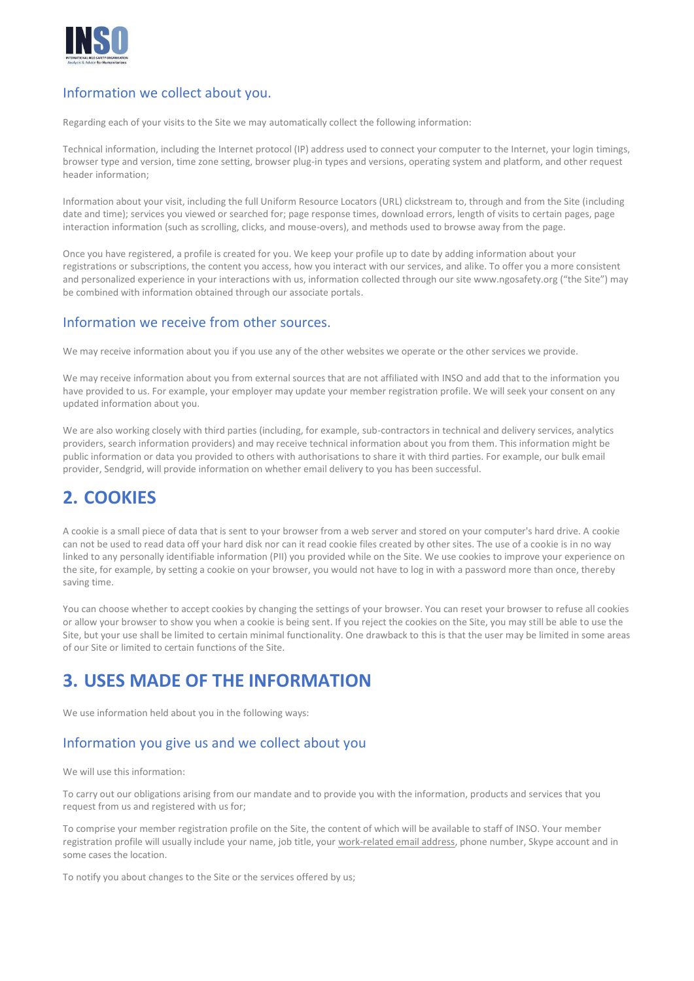

#### Information we collect about you.

Regarding each of your visits to the Site we may automatically collect the following information:

Technical information, including the Internet protocol (IP) address used to connect your computer to the Internet, your login timings, browser type and version, time zone setting, browser plug-in types and versions, operating system and platform, and other request header information;

Information about your visit, including the full Uniform Resource Locators (URL) clickstream to, through and from the Site (including date and time); services you viewed or searched for; page response times, download errors, length of visits to certain pages, page interaction information (such as scrolling, clicks, and mouse-overs), and methods used to browse away from the page.

Once you have registered, a profile is created for you. We keep your profile up to date by adding information about your registrations or subscriptions, the content you access, how you interact with our services, and alike. To offer you a more consistent and personalized experience in your interactions with us, information collected through our sit[e www.ngosafety.org](http://www.ngosafety.org/) ("the Site") may be combined with information obtained through our associate portals.

#### Information we receive from other sources.

We may receive information about you if you use any of the other websites we operate or the other services we provide.

We may receive information about you from external sources that are not affiliated with INSO and add that to the information you have provided to us. For example, your employer may update your member registration profile. We will seek your consent on any updated information about you.

We are also working closely with third parties (including, for example, sub-contractors in technical and delivery services, analytics providers, search information providers) and may receive technical information about you from them. This information might be public information or data you provided to others with authorisations to share it with third parties. For example, our bulk email provider, Sendgrid, will provide information on whether email delivery to you has been successful.

## **2. COOKIES**

A cookie is a small piece of data that is sent to your browser from a web server and stored on your computer's hard drive. A cookie can not be used to read data off your hard disk nor can it read cookie files created by other sites. The use of a cookie is in no way linked to any personally identifiable information (PII) you provided while on the Site. We use cookies to improve your experience on the site, for example, by setting a cookie on your browser, you would not have to log in with a password more than once, thereby saving time.

You can choose whether to accept cookies by changing the settings of your browser. You can reset your browser to refuse all cookies or allow your browser to show you when a cookie is being sent. If you reject the cookies on the Site, you may still be able to use the Site, but your use shall be limited to certain minimal functionality. One drawback to this is that the user may be limited in some areas of our Site or limited to certain functions of the Site.

### **3. USES MADE OF THE INFORMATION**

We use information held about you in the following ways:

#### Information you give us and we collect about you

We will use this information:

To carry out our obligations arising from our mandate and to provide you with the information, products and services that you request from us and registered with us for;

To comprise your member registration profile on the Site, the content of which will be available to staff of INSO. Your member registration profile will usually include your name, job title, your work-related email address, phone number, Skype account and in some cases the location.

To notify you about changes to the Site or the services offered by us;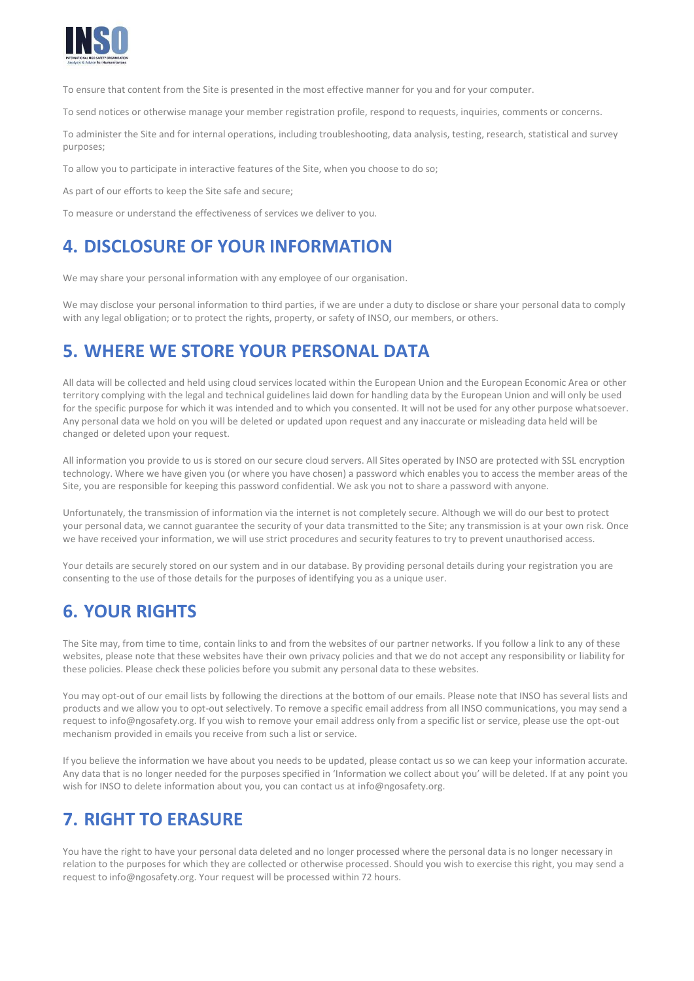

To ensure that content from the Site is presented in the most effective manner for you and for your computer.

To send notices or otherwise manage your member registration profile, respond to requests, inquiries, comments or concerns.

To administer the Site and for internal operations, including troubleshooting, data analysis, testing, research, statistical and survey purposes;

To allow you to participate in interactive features of the Site, when you choose to do so;

As part of our efforts to keep the Site safe and secure;

To measure or understand the effectiveness of services we deliver to you.

### **4. DISCLOSURE OF YOUR INFORMATION**

We may share your personal information with any employee of our organisation.

We may disclose your personal information to third parties, if we are under a duty to disclose or share your personal data to comply with any legal obligation; or to protect the rights, property, or safety of INSO, our members, or others.

### **5. WHERE WE STORE YOUR PERSONAL DATA**

All data will be collected and held using cloud services located within the European Union and the European Economic Area or other territory complying with the legal and technical guidelines laid down for handling data by the European Union and will only be used for the specific purpose for which it was intended and to which you consented. It will not be used for any other purpose whatsoever. Any personal data we hold on you will be deleted or updated upon request and any inaccurate or misleading data held will be changed or deleted upon your request.

All information you provide to us is stored on our secure cloud servers. All Sites operated by INSO are protected with SSL encryption technology. Where we have given you (or where you have chosen) a password which enables you to access the member areas of the Site, you are responsible for keeping this password confidential. We ask you not to share a password with anyone.

Unfortunately, the transmission of information via the internet is not completely secure. Although we will do our best to protect your personal data, we cannot guarantee the security of your data transmitted to the Site; any transmission is at your own risk. Once we have received your information, we will use strict procedures and security features to try to prevent unauthorised access.

Your details are securely stored on our system and in our database. By providing personal details during your registration you are consenting to the use of those details for the purposes of identifying you as a unique user.

## **6. YOUR RIGHTS**

The Site may, from time to time, contain links to and from the websites of our partner networks. If you follow a link to any of these websites, please note that these websites have their own privacy policies and that we do not accept any responsibility or liability for these policies. Please check these policies before you submit any personal data to these websites.

You may opt-out of our email lists by following the directions at the bottom of our emails. Please note that INSO has several lists and products and we allow you to opt-out selectively. To remove a specific email address from all INSO communications, you may send a request t[o info@ngosafety.org. I](mailto:info@ngosafety.org)f you wish to remove your email address only from a specific list or service, please use the opt-out mechanism provided in emails you receive from such a list or service.

If you believe the information we have about you needs to be updated, please contact us so we can keep your information accurate. Any data that is no longer needed for the purposes specified in 'Information we collect about you' will be deleted. If at any point you wish for INSO to delete information about you, you can contact us at [info@ngosafety.org.](mailto:info@ngosafety.org)

## **7. RIGHT TO ERASURE**

You have the right to have your personal data deleted and no longer processed where the personal data is no longer necessary in relation to the purposes for which they are collected or otherwise processed. Should you wish to exercise this right, you may send a reques[t to info@ngosafety.org. Y](mailto:info@ngosafety.org)our request will be processed within 72 hours.